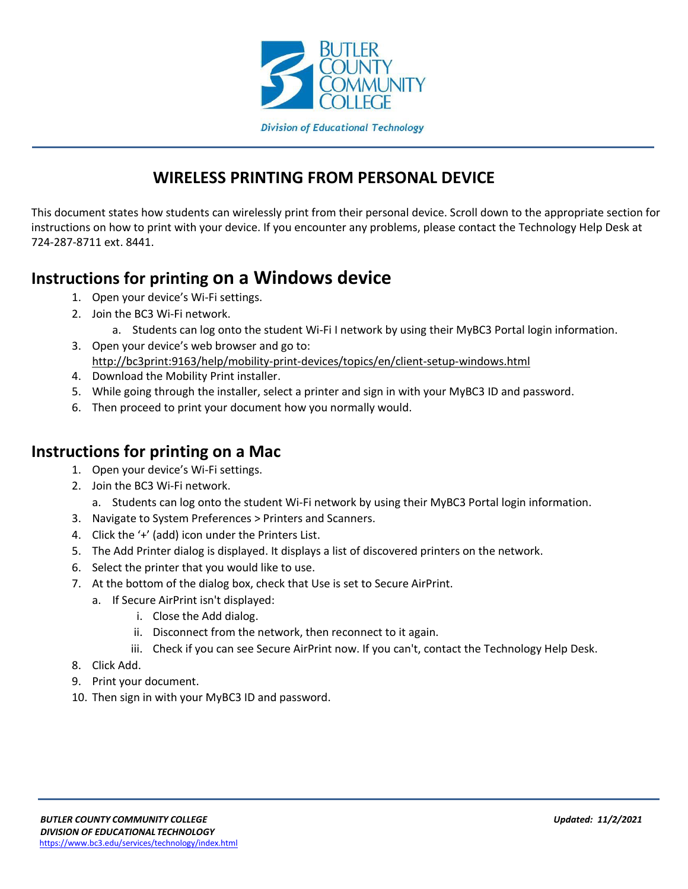

### **WIRELESS PRINTING FROM PERSONAL DEVICE**

This document states how students can wirelessly print from their personal device. Scroll down to the appropriate section for instructions on how to print with your device. If you encounter any problems, please contact the Technology Help Desk at 724-287-8711 ext. 8441.

# **Instructions for printing on a Windows device**

- 1. Open your device's Wi-Fi settings.
- 2. Join the BC3 Wi-Fi network.
	- a. Students can log onto the student Wi-Fi I network by using their MyBC3 Portal login information.
- 3. Open your device's web browser and go to: <http://bc3print:9163/help/mobility-print-devices/topics/en/client-setup-windows.html>
- 4. Download the Mobility Print installer.
- 5. While going through the installer, select a printer and sign in with your MyBC3 ID and password.
- 6. Then proceed to print your document how you normally would.

#### **Instructions for printing on a Mac**

- 1. Open your device's Wi-Fi settings.
- 2. Join the BC3 Wi-Fi network.
	- a. Students can log onto the student Wi-Fi network by using their MyBC3 Portal login information.
- 3. Navigate to System Preferences > Printers and Scanners.
- 4. Click the '+' (add) icon under the Printers List.
- 5. The Add Printer dialog is displayed. It displays a list of discovered printers on the network.
- 6. Select the printer that you would like to use.
- 7. At the bottom of the dialog box, check that Use is set to Secure AirPrint.
	- a. If Secure AirPrint isn't displayed:
		- i. Close the Add dialog.
		- ii. Disconnect from the network, then reconnect to it again.
		- iii. Check if you can see Secure AirPrint now. If you can't, contact the Technology Help Desk.
- 8. Click Add.
- 9. Print your document.
- 10. Then sign in with your MyBC3 ID and password.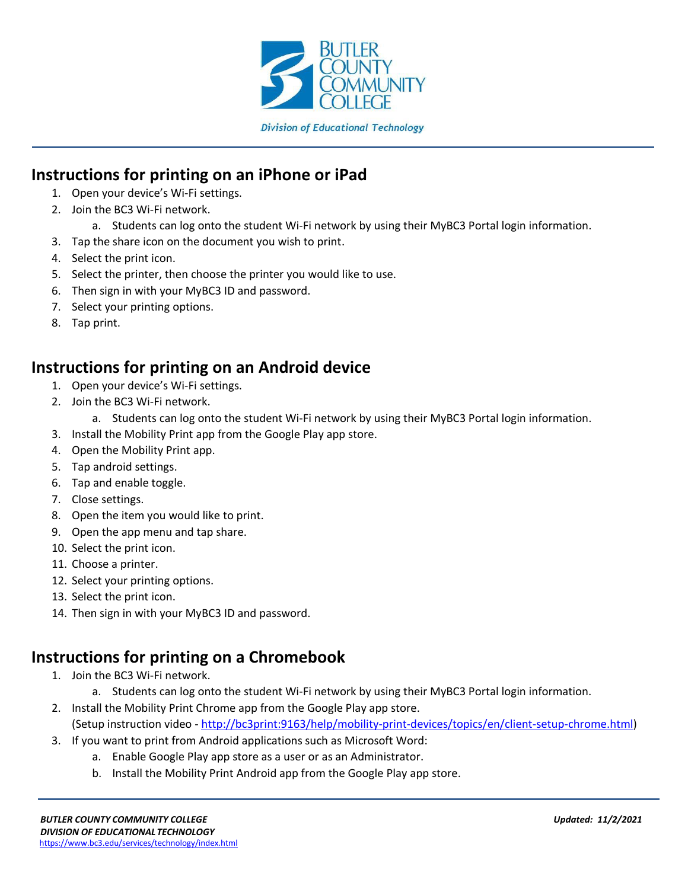

### **Instructions for printing on an iPhone or iPad**

- 1. Open your device's Wi-Fi settings.
- 2. Join the BC3 Wi-Fi network.
	- a. Students can log onto the student Wi-Fi network by using their MyBC3 Portal login information.
- 3. Tap the share icon on the document you wish to print.
- 4. Select the print icon.
- 5. Select the printer, then choose the printer you would like to use.
- 6. Then sign in with your MyBC3 ID and password.
- 7. Select your printing options.
- 8. Tap print.

#### **Instructions for printing on an Android device**

- 1. Open your device's Wi-Fi settings.
- 2. Join the BC3 Wi-Fi network.
	- a. Students can log onto the student Wi-Fi network by using their MyBC3 Portal login information.
- 3. Install the Mobility Print app from the Google Play app store.
- 4. Open the Mobility Print app.
- 5. Tap android settings.
- 6. Tap and enable toggle.
- 7. Close settings.
- 8. Open the item you would like to print.
- 9. Open the app menu and tap share.
- 10. Select the print icon.
- 11. Choose a printer.
- 12. Select your printing options.
- 13. Select the print icon.
- 14. Then sign in with your MyBC3 ID and password.

# **Instructions for printing on a Chromebook**

- 1. Join the BC3 Wi-Fi network.
	- a. Students can log onto the student Wi-Fi network by using their MyBC3 Portal login information.
- 2. Install the Mobility Print Chrome app from the Google Play app store. (Setup instruction video - [http://bc3print:9163/help/mobility-print-devices/topics/en/client-setup-chrome.html\)](http://bc3print:9163/help/mobility-print-devices/topics/en/client-setup-chrome.html)
- 3. If you want to print from Android applications such as Microsoft Word:
	- a. Enable Google Play app store as a user or as an Administrator.
	- b. Install the Mobility Print Android app from the Google Play app store.